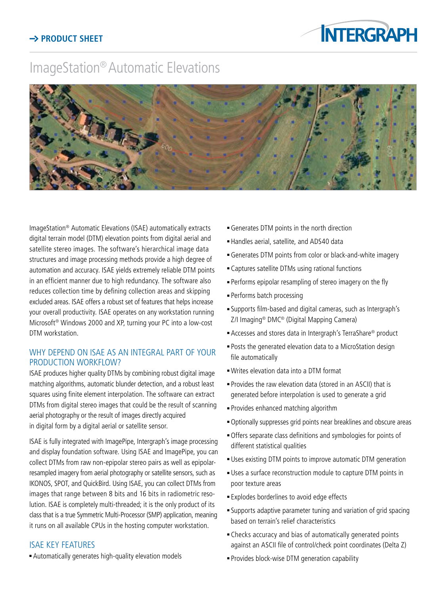# ImageStation® Automatic Elevations



ImageStation® Automatic Elevations (ISAE) automatically extracts digital terrain model (DTM) elevation points from digital aerial and satellite stereo images. The software's hierarchical image data structures and image processing methods provide a high degree of automation and accuracy. ISAE yields extremely reliable DTM points in an efficient manner due to high redundancy. The software also reduces collection time by defining collection areas and skipping excluded areas. ISAE offers a robust set of features that helps increase your overall productivity. ISAE operates on any workstation running Microsoft® Windows 2000 and XP, turning your PC into a low-cost DTM workstation.

## WHY DEPEND ON ISAE AS AN INTEGRAL PART OF YOUR PRODUCTION WORKFLOW?

ISAE produces higher quality DTMs by combining robust digital image matching algorithms, automatic blunder detection, and a robust least squares using finite element interpolation. The software can extract DTMs from digital stereo images that could be the result of scanning aerial photography or the result of images directly acquired in digital form by a digital aerial or satellite sensor.

ISAE is fully integrated with ImagePipe, Intergraph's image processing and display foundation software. Using ISAE and ImagePipe, you can collect DTMs from raw non-epipolar stereo pairs as well as epipolarresampled imagery from aerial photography or satellite sensors, such as IKONOS, SPOT, and QuickBird. Using ISAE, you can collect DTMs from images that range between 8 bits and 16 bits in radiometric resolution. ISAE is completely multi-threaded; it is the only product of its class that is a true Symmetric Multi-Processor (SMP) application, meaning it runs on all available CPUs in the hosting computer workstation.

#### ISAE key features

<sup>n</sup> Automatically generates high-quality elevation models

- <sup>n</sup> Generates DTM points in the north direction
- <sup>n</sup> Handles aerial, satellite, and ADS40 data
- <sup>n</sup> Generates DTM points from color or black-and-white imagery
- <sup>n</sup> Captures satellite DTMs using rational functions
- <sup>n</sup> Performs epipolar resampling of stereo imagery on the fly
- Performs batch processing
- <sup>n</sup> Supports film-based and digital cameras, such as Intergraph's Z/I Imaging® DMC® (Digital Mapping Camera)
- Accesses and stores data in Intergraph's TerraShare® product
- <sup>n</sup> Posts the generated elevation data to a MicroStation design file automatically
- <sup>n</sup> Writes elevation data into a DTM format
- <sup>n</sup> Provides the raw elevation data (stored in an ASCII) that is generated before interpolation is used to generate a grid
- <sup>n</sup> Provides enhanced matching algorithm
- <sup>n</sup> Optionally suppresses grid points near breaklines and obscure areas
- <sup>n</sup> Offers separate class definitions and symbologies for points of different statistical qualities
- **Uses existing DTM points to improve automatic DTM generation**
- <sup>n</sup> Uses a surface reconstruction module to capture DTM points in poor texture areas
- **Explodes borderlines to avoid edge effects**
- <sup>n</sup> Supports adaptive parameter tuning and variation of grid spacing based on terrain's relief characteristics
- <sup>n</sup> Checks accuracy and bias of automatically generated points against an ASCII file of control/check point coordinates (Delta Z)
- <sup>n</sup> Provides block-wise DTM generation capability